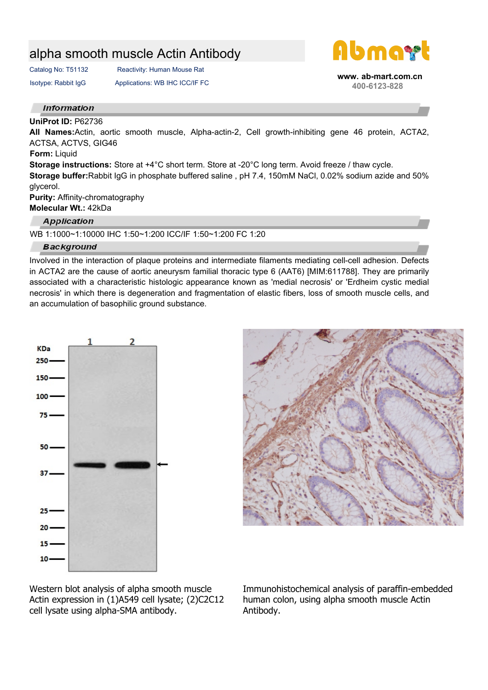# alpha smooth muscle Actin Antibody

Catalog No: T51132 Reactivity: Human Mouse Rat

Isotype: Rabbit IgG Applications: WB IHC ICC/IF FC



 **www. ab-mart.com.cn 400-6123-828**

#### **Information**

### **UniProt ID:** P62736

**All Names:**Actin, aortic smooth muscle, Alpha-actin-2, Cell growth-inhibiting gene 46 protein, ACTA2, ACTSA, ACTVS, GIG46

#### **Form:** Liquid

**Storage instructions:** Store at +4°C short term. Store at -20°C long term. Avoid freeze / thaw cycle.

**Storage buffer:**Rabbit IgG in phosphate buffered saline , pH 7.4, 150mM NaCl, 0.02% sodium azide and 50% glycerol.

**Purity:** Affinity-chromatography **Molecular Wt.:** 42kDa

## **Application**

WB 1:1000~1:10000 IHC 1:50~1:200 ICC/IF 1:50~1:200 FC 1:20

## **Background**

Involved in the interaction of plaque proteins and intermediate filaments mediating cell-cell adhesion. Defects in ACTA2 are the cause of aortic aneurysm familial thoracic type 6 (AAT6) [MIM:611788]. They are primarily associated with a characteristic histologic appearance known as 'medial necrosis' or 'Erdheim cystic medial necrosis' in which there is degeneration and fragmentation of elastic fibers, loss of smooth muscle cells, and an accumulation of basophilic ground substance.





Western blot analysis of alpha smooth muscle Actin expression in (1)A549 cell lysate; (2)C2C12 cell lysate using alpha-SMA antibody.

Immunohistochemical analysis of paraffin-embedded human colon, using alpha smooth muscle Actin Antibody.